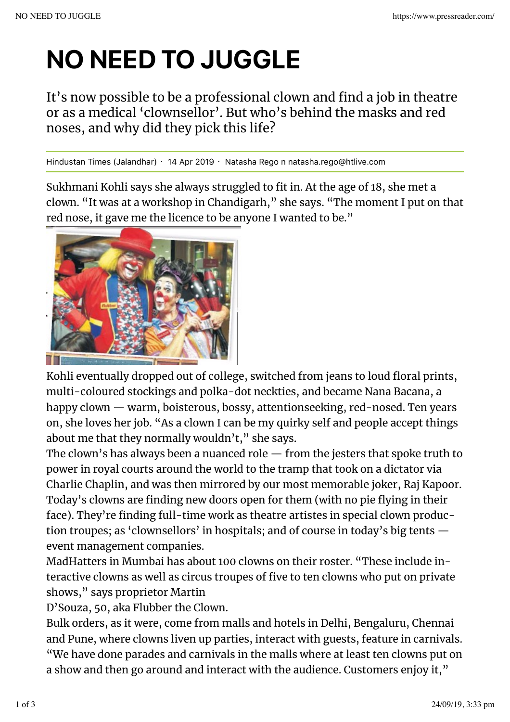## NO NEED TO JUGGLE

It's now possible to be a professional clown and find a job in theatre or as a medical 'clownsellor'. But who's behind the masks and red noses, and why did they pick this life?

Hindustan Times (Jalandhar) · 14 Apr 2019 · Natasha Rego n natasha.rego@htlive.com

Sukhmani Kohli says she always struggled to fit in. At the age of 18, she met a clown. "It was at a workshop in Chandigarh," she says. "The moment I put on that red nose, it gave me the licence to be anyone I wanted to be."



Kohli eventually dropped out of college, switched from jeans to loud floral prints, multi-coloured stockings and polka-dot neckties, and became Nana Bacana, a happy clown — warm, boisterous, bossy, attentionseeking, red-nosed. Ten years on, she loves her job. "As a clown I can be my quirky self and people accept things about me that they normally wouldn't," she says.

The clown's has always been a nuanced role — from the jesters that spoke truth to power in royal courts around the world to the tramp that took on a dictator via Charlie Chaplin, and was then mirrored by our most memorable joker, Raj Kapoor. Today's clowns are finding new doors open for them (with no pie flying in their face). They're finding full-time work as theatre artistes in special clown production troupes; as 'clownsellors' in hospitals; and of course in today's big tents event management companies.

MadHatters in Mumbai has about 100 clowns on their roster. "These include interactive clowns as well as circus troupes of five to ten clowns who put on private shows," says proprietor Martin

D'Souza, 50, aka Flubber the Clown.

Bulk orders, as it were, come from malls and hotels in Delhi, Bengaluru, Chennai and Pune, where clowns liven up parties, interact with guests, feature in carnivals. "We have done parades and carnivals in the malls where at least ten clowns put on a show and then go around and interact with the audience. Customers enjoy it,"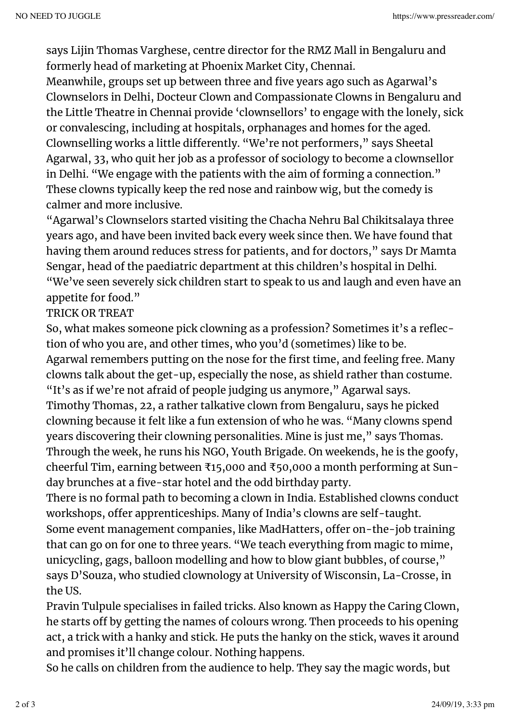says Lijin Thomas Varghese, centre director for the RMZ Mall in Bengaluru and formerly head of marketing at Phoenix Market City, Chennai.

Meanwhile, groups set up between three and five years ago such as Agarwal's Clownselors in Delhi, Docteur Clown and Compassionate Clowns in Bengaluru and the Little Theatre in Chennai provide 'clownsellors' to engage with the lonely, sick or convalescing, including at hospitals, orphanages and homes for the aged. Clownselling works a little diferently. "We're not performers," says Sheetal Agarwal, 33, who quit her job as a professor of sociology to become a clownsellor in Delhi. "We engage with the patients with the aim of forming a connection." These clowns typically keep the red nose and rainbow wig, but the comedy is calmer and more inclusive.

"Agarwal's Clownselors started visiting the Chacha Nehru Bal Chikitsalaya three years ago, and have been invited back every week since then. We have found that having them around reduces stress for patients, and for doctors," says Dr Mamta Sengar, head of the paediatric department at this children's hospital in Delhi. "We've seen severely sick children start to speak to us and laugh and even have an appetite for food."

## TRICK OR TREAT

So, what makes someone pick clowning as a profession? Sometimes it's a reflection of who you are, and other times, who you'd (sometimes) like to be. Agarwal remembers putting on the nose for the first time, and feeling free. Many clowns talk about the get-up, especially the nose, as shield rather than costume. "It's as if we're not afraid of people judging us anymore," Agarwal says.

Timothy Thomas, 22, a rather talkative clown from Bengaluru, says he picked clowning because it felt like a fun extension of who he was. "Many clowns spend years discovering their clowning personalities. Mine is just me," says Thomas. Through the week, he runs his NGO, Youth Brigade. On weekends, he is the goofy, cheerful Tim, earning between ₹15,000 and ₹50,000 a month performing at Sunday brunches at a five-star hotel and the odd birthday party.

There is no formal path to becoming a clown in India. Established clowns conduct workshops, offer apprenticeships. Many of India's clowns are self-taught. Some event management companies, like MadHatters, offer on-the-job training that can go on for one to three years. "We teach everything from magic to mime, unicycling, gags, balloon modelling and how to blow giant bubbles, of course," says D'Souza, who studied clownology at University of Wisconsin, La-Crosse, in the US.

Pravin Tulpule specialises in failed tricks. Also known as Happy the Caring Clown, he starts off by getting the names of colours wrong. Then proceeds to his opening act, a trick with a hanky and stick. He puts the hanky on the stick, waves it around and promises it'll change colour. Nothing happens.

So he calls on children from the audience to help. They say the magic words, but